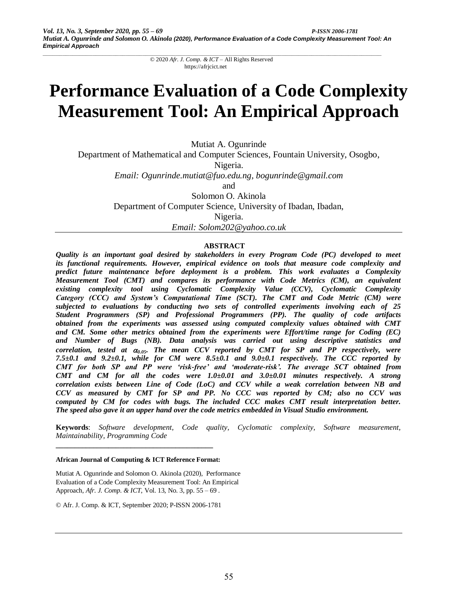# **Performance Evaluation of a Code Complexity Measurement Tool: An Empirical Approach**

Mutiat A. Ogunrinde

Department of Mathematical and Computer Sciences, Fountain University, Osogbo,

Nigeria.

*Email: Ogunrinde.mutiat@fuo.edu.ng, [bogunrinde@gmail.com](mailto:bogunrinde@gmail.com)*

and

Solomon O. Akinola

Department of Computer Science, University of Ibadan, Ibadan,

Nigeria.

*Email: Solom202@yahoo.co.uk*

# **ABSTRACT**

*Quality is an important goal desired by stakeholders in every Program Code (PC) developed to meet its functional requirements. However, empirical evidence on tools that measure code complexity and predict future maintenance before deployment is a problem. This work evaluates a Complexity Measurement Tool (CMT) and compares its performance with Code Metrics (CM), an equivalent existing complexity tool using Cyclomatic Complexity Value (CCV), Cyclomatic Complexity Category (CCC) and System's Computational Time (SCT). The CMT and Code Metric (CM) were subjected to evaluations by conducting two sets of controlled experiments involving each of 25 Student Programmers (SP) and Professional Programmers (PP). The quality of code artifacts obtained from the experiments was assessed using computed complexity values obtained with CMT and CM. Some other metrics obtained from the experiments were Effort/time range for Coding (EC) and Number of Bugs (NB). Data analysis was carried out using descriptive statistics and correlation, tested at 0.05. The mean CCV reported by CMT for SP and PP respectively, were 7.5±0.1 and 9.2±0.1, while for CM were 8.5±0.1 and 9.0±0.1 respectively. The CCC reported by CMT for both SP and PP were 'risk-free' and 'moderate-risk'. The average SCT obtained from CMT* and *CM for all the codes were*  $1.0\pm0.01$  *and*  $3.0\pm0.01$  *minutes respectively. A strong correlation exists between Line of Code (LoC) and CCV while a weak correlation between NB and CCV as measured by CMT for SP and PP. No CCC was reported by CM; also no CCV was computed by CM for codes with bugs. The included CCC makes CMT result interpretation better. The speed also gave it an upper hand over the code metrics embedded in Visual Studio environment.*

**Keywords**: *Software development, Code quality, Cyclomatic complexity, Software measurement, Maintainability, Programming Code*

#### **African Journal of Computing & ICT Reference Format:**

**\_\_\_\_\_\_\_\_\_\_\_\_\_\_\_\_\_\_\_\_\_\_\_\_\_\_\_\_\_\_\_\_\_\_\_\_\_\_\_\_\_\_**

Mutiat A. Ogunrinde and Solomon O. Akinola (2020), Performance Evaluation of a Code Complexity Measurement Tool: An Empirical Approach, *Afr. J. Comp. & ICT*, Vol. 13, No. 3, pp. 55 – 69 .

© Afr. J. Comp. & ICT, September 2020; P-ISSN 2006-1781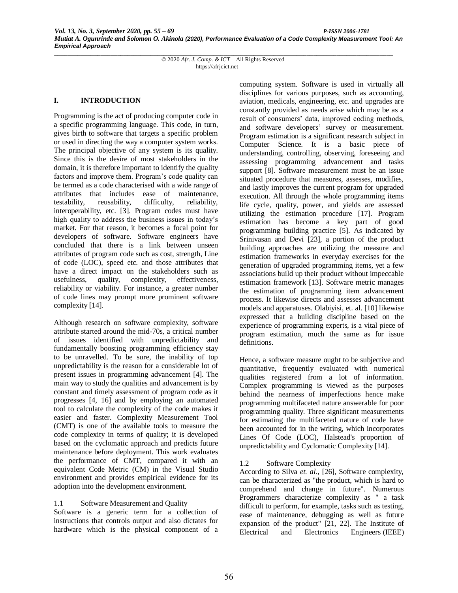#### **I. INTRODUCTION**

Programming is the act of producing computer code in a specific programming language. This code, in turn, gives birth to software that targets a specific problem or used in directing the way a computer system works. The principal objective of any system is its quality. Since this is the desire of most stakeholders in the domain, it is therefore important to identify the quality factors and improve them. Program's code quality can be termed as a code characterised with a wide range of attributes that includes ease of maintenance, testability, reusability, difficulty, reliability, interoperability, etc. [3]. Program codes must have high quality to address the business issues in today's market. For that reason, it becomes a focal point for developers of software. Software engineers have concluded that there is a link between unseen attributes of program code such as cost, strength, Line of code (LOC), speed etc. and those attributes that have a direct impact on the stakeholders such as usefulness, quality, complexity, effectiveness, reliability or viability. For instance, a greater number of code lines may prompt more prominent software complexity [14].

Although research on software complexity, software attribute started around the mid-70s, a critical number of issues identified with unpredictability and fundamentally boosting programming efficiency stay to be unravelled. To be sure, the inability of top unpredictability is the reason for a considerable lot of present issues in programming advancement [4]. The main way to study the qualities and advancement is by constant and timely assessment of program code as it progresses [4, 16] and by employing an automated tool to calculate the complexity of the code makes it easier and faster. Complexity Measurement Tool (CMT) is one of the available tools to measure the code complexity in terms of quality; it is developed based on the cyclomatic approach and predicts future maintenance before deployment. This work evaluates the performance of CMT, compared it with an equivalent Code Metric (CM) in the Visual Studio environment and provides empirical evidence for its adoption into the development environment.

## 1.1 Software Measurement and Quality

Software is a generic term for a collection of instructions that controls output and also dictates for hardware which is the physical component of a computing system. Software is used in virtually all disciplines for various purposes, such as accounting, aviation, medicals, engineering, etc. and upgrades are constantly provided as needs arise which may be as a result of consumers' data, improved coding methods, and software developers' survey or measurement. Program estimation is a significant research subject in Computer Science. It is a basic piece of understanding, controlling, observing, foreseeing and assessing programming advancement and tasks support [8]. Software measurement must be an issue situated procedure that measures, assesses, modifies, and lastly improves the current program for upgraded execution. All through the whole programming items life cycle, quality, power, and yields are assessed utilizing the estimation procedure [17]. Program estimation has become a key part of good programming building practice [5]. As indicated by Srinivasan and Devi [23], a portion of the product building approaches are utilizing the measure and estimation frameworks in everyday exercises for the generation of upgraded programming items, yet a few associations build up their product without impeccable estimation framework [13]. Software metric manages the estimation of programming item advancement process. It likewise directs and assesses advancement models and apparatuses. Olabiyisi, et. al. [10] likewise expressed that a building discipline based on the experience of programming experts, is a vital piece of program estimation, much the same as for issue definitions.

Hence, a software measure ought to be subjective and quantitative, frequently evaluated with numerical qualities registered from a lot of information. Complex programming is viewed as the purposes behind the nearness of imperfections hence make programming multifaceted nature answerable for poor programming quality. Three significant measurements for estimating the multifaceted nature of code have been accounted for in the writing, which incorporates Lines Of Code (LOC), Halstead's proportion of unpredictability and Cyclomatic Complexity [14].

## 1.2 Software Complexity

According to Silva *et. al.,* [26], Software complexity, can be characterized as "the product, which is hard to comprehend and change in future". Numerous Programmers characterize complexity as " a task difficult to perform, for example, tasks such as testing, ease of maintenance, debugging as well as future expansion of the product" [21, 22]. The Institute of Electrical and Electronics Engineers (IEEE)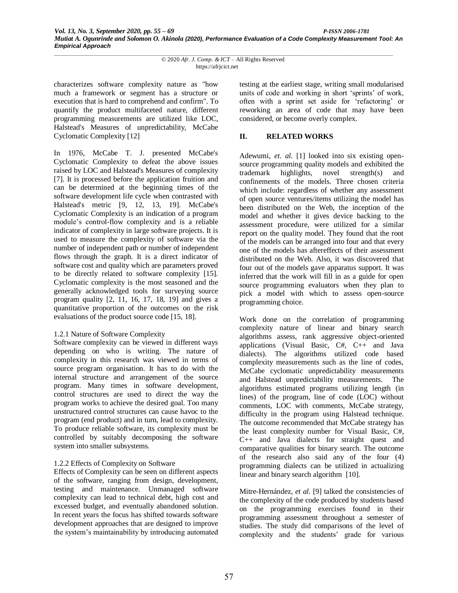characterizes software complexity nature as "how much a framework or segment has a structure or execution that is hard to comprehend and confirm". To quantify the product multifaceted nature, different programming measurements are utilized like LOC, Halstead's Measures of unpredictability, McCabe Cyclomatic Complexity [12]

In 1976, McCabe T. J. presented McCabe's Cyclomatic Complexity to defeat the above issues raised by LOC and Halstead's Measures of complexity [7]. It is processed before the application fruition and can be determined at the beginning times of the software development life cycle when contrasted with Halstead's metric [9, 12, 13, 19]. McCabe's Cyclomatic Complexity is an indication of a program module's control-flow complexity and is a reliable indicator of complexity in large software projects. It is used to measure the complexity of software via the number of independent path or number of independent flows through the graph. It is a direct indicator of software cost and quality which are parameters proved to be directly related to software complexity [15]. Cyclomatic complexity is the most seasoned and the generally acknowledged tools for surveying source program quality [2, 11, 16, 17, 18, 19] and gives a quantitative proportion of the outcomes on the risk evaluations of the product source code [15, 18].

## 1.2.1 Nature of Software Complexity

Software complexity can be viewed in different ways depending on who is writing. The nature of complexity in this research was viewed in terms of source program organisation. It has to do with the internal structure and arrangement of the source program. Many times in software development, control structures are used to direct the way the program works to achieve the desired goal. Too many unstructured control structures can cause havoc to the program (end product) and in turn, lead to complexity. To produce reliable software, its complexity must be controlled by suitably decomposing the software system into smaller subsystems.

# 1.2.2 Effects of Complexity on Software

Effects of Complexity can be seen on different aspects of the software, ranging from design, development, testing and maintenance. Unmanaged software complexity can lead to technical debt, high cost and excessed budget, and eventually abandoned solution. In recent years the focus has shifted towards software development approaches that are designed to improve the system's maintainability by introducing automated testing at the earliest stage, writing small modularised units of code and working in short 'sprints' of work, often with a sprint set aside for 'refactoring' or reworking an area of code that may have been considered, or become overly complex.

# **II. RELATED WORKS**

Adewumi, *et. al.* [1] looked into six existing opensource programming quality models and exhibited the trademark highlights, novel strength(s) and confinements of the models. Three chosen criteria which include: regardless of whether any assessment of open source ventures/items utilizing the model has been distributed on the Web, the inception of the model and whether it gives device backing to the assessment procedure, were utilized for a similar report on the quality model. They found that the root of the models can be arranged into four and that every one of the models has aftereffects of their assessment distributed on the Web. Also, it was discovered that four out of the models gave apparatus support. It was inferred that the work will fill in as a guide for open source programming evaluators when they plan to pick a model with which to assess open-source programming choice.

Work done on the correlation of programming complexity nature of linear and binary search algorithms assess, rank aggressive object-oriented applications (Visual Basic, C#, C++ and Java dialects). The algorithms utilized code based complexity measurements such as the line of codes, McCabe cyclomatic unpredictability measurements and Halstead unpredictability measurements. The algorithms estimated programs utilizing length (in lines) of the program, line of code (LOC) without comments, LOC with comments, McCabe strategy, difficulty in the program using Halstead technique. The outcome recommended that McCabe strategy has the least complexity number for Visual Basic, C#, C++ and Java dialects for straight quest and comparative qualities for binary search. The outcome of the research also said any of the four (4) programming dialects can be utilized in actualizing linear and binary search algorithm [10].

Mitre-Hernández, *et al.* [9] talked the consistencies of the complexity of the code produced by students based on the programming exercises found in their programming assessment throughout a semester of studies. The study did comparisons of the level of complexity and the students' grade for various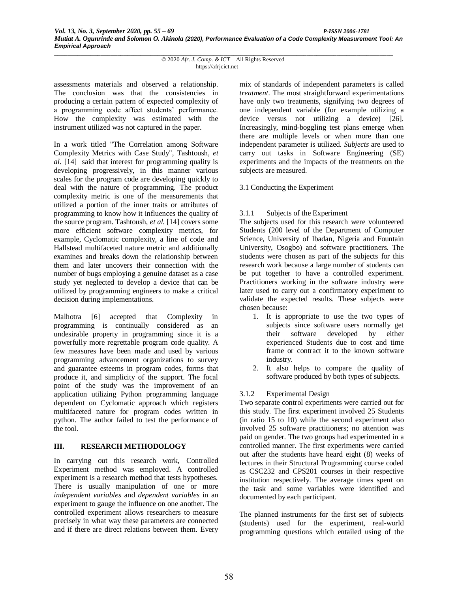assessments materials and observed a relationship. The conclusion was that the consistencies in producing a certain pattern of expected complexity of a programming code affect students' performance. How the complexity was estimated with the instrument utilized was not captured in the paper.

In a work titled "The Correlation among Software Complexity Metrics with Case Study", Tashtoush, *et al.* [14] said that interest for programming quality is developing progressively, in this manner various scales for the program code are developing quickly to deal with the nature of programming. The product complexity metric is one of the measurements that utilized a portion of the inner traits or attributes of programming to know how it influences the quality of the source program. Tashtoush, *et al.* [14] covers some more efficient software complexity metrics, for example, Cyclomatic complexity, a line of code and Hallstead multifaceted nature metric and additionally examines and breaks down the relationship between them and later uncovers their connection with the number of bugs employing a genuine dataset as a case study yet neglected to develop a device that can be utilized by programming engineers to make a critical decision during implementations.

Malhotra [6] accepted that Complexity in programming is continually considered as an undesirable property in programming since it is a powerfully more regrettable program code quality. A few measures have been made and used by various programming advancement organizations to survey and guarantee esteems in program codes, forms that produce it, and simplicity of the support. The focal point of the study was the improvement of an application utilizing Python programming language dependent on Cyclomatic approach which registers multifaceted nature for program codes written in python. The author failed to test the performance of the tool.

## **III. RESEARCH METHODOLOGY**

In carrying out this research work, Controlled Experiment method was employed. A controlled experiment is a research method that tests hypotheses. There is usually manipulation of one or more *independent variables* and *dependent variables* in an experiment to gauge the influence on one another. The controlled experiment allows researchers to measure precisely in what way these parameters are connected and if there are direct relations between them. Every

mix of standards of independent parameters is called *treatment*. The most straightforward experimentations have only two treatments, signifying two degrees of one independent variable (for example utilizing a device versus not utilizing a device) [26]. Increasingly, mind-boggling test plans emerge when there are multiple levels or when more than one independent parameter is utilized. *Subjects* are used to carry out tasks in Software Engineering (SE) experiments and the impacts of the treatments on the subjects are measured.

## 3.1 Conducting the Experiment

## 3.1.1 Subjects of the Experiment

The subjects used for this research were volunteered Students (200 level of the Department of Computer Science, University of Ibadan, Nigeria and Fountain University, Osogbo) and software practitioners. The students were chosen as part of the subjects for this research work because a large number of students can be put together to have a controlled experiment. Practitioners working in the software industry were later used to carry out a confirmatory experiment to validate the expected results. These subjects were chosen because:

- 1. It is appropriate to use the two types of subjects since software users normally get their software developed by either experienced Students due to cost and time frame or contract it to the known software industry.
- 2. It also helps to compare the quality of software produced by both types of subjects.

# 3.1.2 Experimental Design

Two separate control experiments were carried out for this study. The first experiment involved 25 Students (in ratio 15 to 10) while the second experiment also involved 25 software practitioners; no attention was paid on gender. The two groups had experimented in a controlled manner. The first experiments were carried out after the students have heard eight (8) weeks of lectures in their Structural Programming course coded as CSC232 and CPS201 courses in their respective institution respectively. The average times spent on the task and some variables were identified and documented by each participant.

The planned instruments for the first set of subjects (students) used for the experiment, real-world programming questions which entailed using of the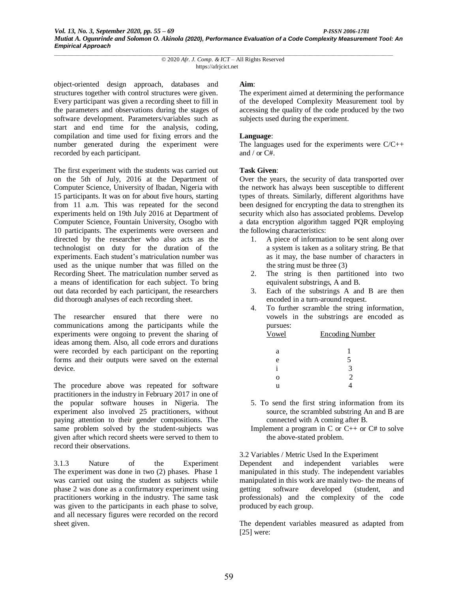object-oriented design approach, databases and structures together with control structures were given. Every participant was given a recording sheet to fill in the parameters and observations during the stages of software development. Parameters/variables such as start and end time for the analysis, coding, compilation and time used for fixing errors and the number generated during the experiment were recorded by each participant.

The first experiment with the students was carried out on the 5th of July, 2016 at the Department of Computer Science, University of Ibadan, Nigeria with 15 participants. It was on for about five hours, starting from 11 a.m. This was repeated for the second experiments held on 19th July 2016 at Department of Computer Science, Fountain University, Osogbo with 10 participants. The experiments were overseen and directed by the researcher who also acts as the technologist on duty for the duration of the experiments. Each student's matriculation number was used as the unique number that was filled on the Recording Sheet. The matriculation number served as a means of identification for each subject. To bring out data recorded by each participant, the researchers did thorough analyses of each recording sheet.

The researcher ensured that there were no communications among the participants while the experiments were ongoing to prevent the sharing of ideas among them. Also, all code errors and durations were recorded by each participant on the reporting forms and their outputs were saved on the external device.

The procedure above was repeated for software practitioners in the industry in February 2017 in one of the popular software houses in Nigeria. The experiment also involved 25 practitioners, without paying attention to their gender compositions. The same problem solved by the student-subjects was given after which record sheets were served to them to record their observations.

3.1.3 Nature of the Experiment The experiment was done in two (2) phases. Phase 1 was carried out using the student as subjects while phase 2 was done as a confirmatory experiment using practitioners working in the industry. The same task was given to the participants in each phase to solve, and all necessary figures were recorded on the record sheet given.

#### **Aim**:

The experiment aimed at determining the performance of the developed Complexity Measurement tool by accessing the quality of the code produced by the two subjects used during the experiment.

#### **Language**:

The languages used for the experiments were  $C/C++$ and / or C#.

#### **Task Given**:

Over the years, the security of data transported over the network has always been susceptible to different types of threats. Similarly, different algorithms have been designed for encrypting the data to strengthen its security which also has associated problems. Develop a data encryption algorithm tagged PQR employing the following characteristics:

- 1. A piece of information to be sent along over a system is taken as a solitary string. Be that as it may, the base number of characters in the string must be three (3)
- 2. The string is then partitioned into two equivalent substrings, A and B.
- 3. Each of the substrings A and B are then encoded in a turn-around request.
- 4. To further scramble the string information, vowels in the substrings are encoded as pursues:

| Vowel | <b>Encoding Number</b> |  |
|-------|------------------------|--|
| a     |                        |  |
| e     |                        |  |
| 1     | 3                      |  |
| Ω     | 2                      |  |
| u     |                        |  |

- 5. To send the first string information from its source, the scrambled substring An and B are connected with A coming after B.
- Implement a program in C or C++ or C# to solve the above-stated problem.

3.2 Variables / Metric Used In the Experiment

Dependent and independent variables were manipulated in this study. The independent variables manipulated in this work are mainly two- the means of getting software developed (student, and professionals) and the complexity of the code produced by each group.

The dependent variables measured as adapted from [25] were: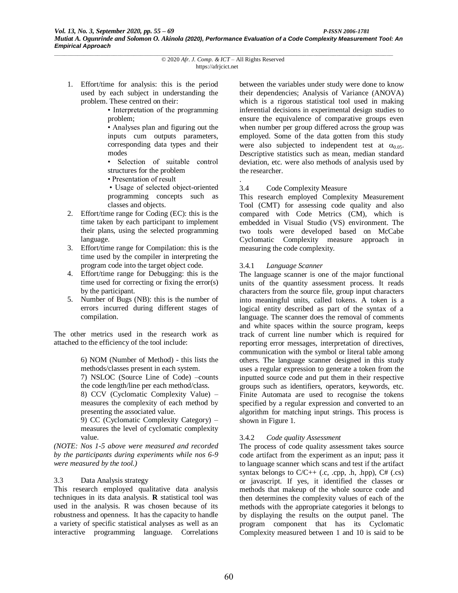1. Effort/time for analysis: this is the period used by each subject in understanding the problem. These centred on their:

> • Interpretation of the programming problem;

> • Analyses plan and figuring out the inputs cum outputs parameters, corresponding data types and their modes

> • Selection of suitable control structures for the problem

• Presentation of result

• Usage of selected object-oriented programming concepts such as classes and objects.

- 2. Effort/time range for Coding (EC): this is the time taken by each participant to implement their plans, using the selected programming language.
- 3. Effort/time range for Compilation: this is the time used by the compiler in interpreting the program code into the target object code.
- 4. Effort/time range for Debugging: this is the time used for correcting or fixing the error(s) by the participant.
- 5. Number of Bugs (NB): this is the number of errors incurred during different stages of compilation.

The other metrics used in the research work as attached to the efficiency of the tool include:

> 6) NOM (Number of Method) - this lists the methods/classes present in each system. 7) NSLOC (Source Line of Code) –counts

> the code length/line per each method/class.

8) CCV (Cyclomatic Complexity Value) – measures the complexity of each method by presenting the associated value.

9) CC (Cyclomatic Complexity Category) – measures the level of cyclomatic complexity value.

*(NOTE: Nos 1-5 above were measured and recorded by the participants during experiments while nos 6-9 were measured by the tool.)*

## 3.3 Data Analysis strategy

This research employed qualitative data analysis techniques in its data analysis. **R** statistical tool was used in the analysis. R was chosen because of its robustness and openness. It has the capacity to handle a variety of specific statistical analyses as well as an interactive programming language. Correlations between the variables under study were done to know their dependencies; Analysis of Variance (ANOVA) which is a rigorous statistical tool used in making inferential decisions in experimental design studies to ensure the equivalence of comparative groups even when number per group differed across the group was employed. Some of the data gotten from this study were also subjected to independent test at  $\alpha_{0.05}$ . Descriptive statistics such as mean, median standard deviation, etc. were also methods of analysis used by the researcher.

#### . 3.4 Code Complexity Measure

This research employed Complexity Measurement Tool (CMT) for assessing code quality and also compared with Code Metrics (CM), which is embedded in Visual Studio (VS) environment. The two tools were developed based on McCabe Cyclomatic Complexity measure approach in measuring the code complexity.

## 3.4.1 *Language Scanner*

The language scanner is one of the major functional units of the quantity assessment process. It reads characters from the source file, group input characters into meaningful units, called tokens. A token is a logical entity described as part of the syntax of a language. The scanner does the removal of comments and white spaces within the source program, keeps track of current line number which is required for reporting error messages, interpretation of directives, communication with the symbol or literal table among others. The language scanner designed in this study uses a regular expression to generate a token from the inputted source code and put them in their respective groups such as identifiers, operators, keywords, etc. Finite Automata are used to recognise the tokens specified by a regular expression and converted to an algorithm for matching input strings. This process is shown in Figure 1.

## 3.4.2 *Code quality Assessment*

The process of code quality assessment takes source code artifact from the experiment as an input; pass it to language scanner which scans and test if the artifact syntax belongs to  $C/C++$  (.c, .cpp, .h, .hpp),  $C#$  (.cs) or javascript. If yes, it identified the classes or methods that makeup of the whole source code and then determines the complexity values of each of the methods with the appropriate categories it belongs to by displaying the results on the output panel. The program component that has its Cyclomatic Complexity measured between 1 and 10 is said to be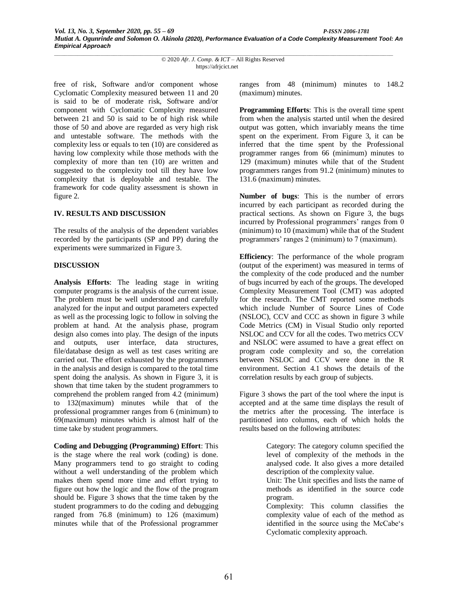free of risk, Software and/or component whose Cyclomatic Complexity measured between 11 and 20 is said to be of moderate risk, Software and/or component with Cyclomatic Complexity measured between 21 and 50 is said to be of high risk while those of 50 and above are regarded as very high risk and untestable software. The methods with the complexity less or equals to ten (10) are considered as having low complexity while those methods with the complexity of more than ten (10) are written and suggested to the complexity tool till they have low complexity that is deployable and testable. The framework for code quality assessment is shown in figure 2.

#### **IV. RESULTS AND DISCUSSION**

The results of the analysis of the dependent variables recorded by the participants (SP and PP) during the experiments were summarized in Figure 3.

#### **DISCUSSION**

**Analysis Efforts**: The leading stage in writing computer programs is the analysis of the current issue. The problem must be well understood and carefully analyzed for the input and output parameters expected as well as the processing logic to follow in solving the problem at hand. At the analysis phase, program design also comes into play. The design of the inputs and outputs, user interface, data structures, file/database design as well as test cases writing are carried out. The effort exhausted by the programmers in the analysis and design is compared to the total time spent doing the analysis. As shown in Figure 3, it is shown that time taken by the student programmers to comprehend the problem ranged from 4.2 (minimum) to 132(maximum) minutes while that of the professional programmer ranges from 6 (minimum) to 69(maximum) minutes which is almost half of the time take by student programmers.

**Coding and Debugging (Programming) Effort**: This is the stage where the real work (coding) is done. Many programmers tend to go straight to coding without a well understanding of the problem which makes them spend more time and effort trying to figure out how the logic and the flow of the program should be. Figure 3 shows that the time taken by the student programmers to do the coding and debugging ranged from 76.8 (minimum) to 126 (maximum) minutes while that of the Professional programmer ranges from 48 (minimum) minutes to 148.2 (maximum) minutes.

**Programming Efforts**: This is the overall time spent from when the analysis started until when the desired output was gotten, which invariably means the time spent on the experiment. From Figure 3, it can be inferred that the time spent by the Professional programmer ranges from 66 (minimum) minutes to 129 (maximum) minutes while that of the Student programmers ranges from 91.2 (minimum) minutes to 131.6 (maximum) minutes.

**Number of bugs**: This is the number of errors incurred by each participant as recorded during the practical sections. As shown on Figure 3, the bugs incurred by Professional programmers' ranges from 0 (minimum) to 10 (maximum) while that of the Student programmers' ranges 2 (minimum) to 7 (maximum).

**Efficiency**: The performance of the whole program (output of the experiment) was measured in terms of the complexity of the code produced and the number of bugs incurred by each of the groups. The developed Complexity Measurement Tool (CMT) was adopted for the research. The CMT reported some methods which include Number of Source Lines of Code (NSLOC), CCV and CCC as shown in figure 3 while Code Metrics (CM) in Visual Studio only reported NSLOC and CCV for all the codes. Two metrics CCV and NSLOC were assumed to have a great effect on program code complexity and so, the correlation between NSLOC and CCV were done in the R environment. Section 4.1 shows the details of the correlation results by each group of subjects.

Figure 3 shows the part of the tool where the input is accepted and at the same time displays the result of the metrics after the processing. The interface is partitioned into columns, each of which holds the results based on the following attributes:

> Category: The category column specified the level of complexity of the methods in the analysed code. It also gives a more detailed description of the complexity value.

> Unit: The Unit specifies and lists the name of methods as identified in the source code program.

> Complexity: This column classifies the complexity value of each of the method as identified in the source using the McCabe's Cyclomatic complexity approach.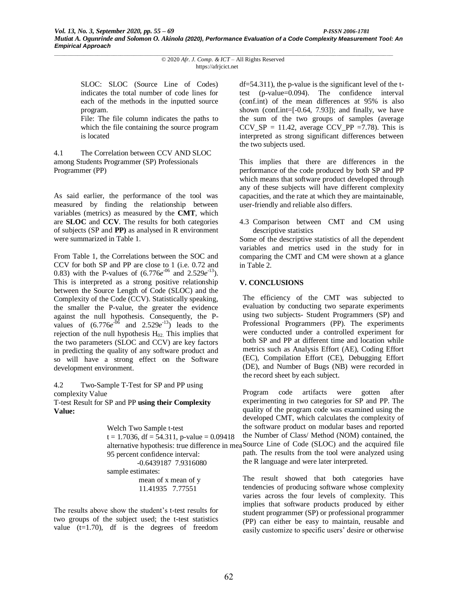SLOC: SLOC (Source Line of Codes) indicates the total number of code lines for each of the methods in the inputted source program.

File: The file column indicates the paths to which the file containing the source program is located

4.1 The Correlation between CCV AND SLOC among Students Programmer (SP) Professionals Programmer (PP)

As said earlier, the performance of the tool was measured by finding the relationship between variables (metrics) as measured by the **CMT**, which are **SLOC** and **CCV**. The results for both categories of subjects (SP and **PP)** as analysed in R environment were summarized in Table 1.

From Table 1, the Correlations between the SOC and CCV for both SP and PP are close to 1 (i.e. 0.72 and 0.83) with the P-values of  $(6.776e^{0.06})$  and  $2.529e^{-13}$ . This is interpreted as a strong positive relationship between the Source Length of Code (SLOC) and the Complexity of the Code (CCV). Statistically speaking, the smaller the P-value, the greater the evidence against the null hypothesis. Consequently, the Pvalues of  $(6.776e^{0.06})$  and  $2.529e^{-13}$  leads to the rejection of the null hypothesis  $H_{02}$ . This implies that the two parameters (SLOC and CCV) are key factors in predicting the quality of any software product and so will have a strong effect on the Software development environment.

4.2 Two-Sample T-Test for SP and PP using complexity Value T-test Result for SP and PP **using their Complexity Value:**

> Welch Two Sample t-test  $t = 1.7036$ , df = 54.311, p-value = 0.09418 95 percent confidence interval: -0.6439187 7.9316080 sample estimates: mean of x mean of y 11.41935 7.77551

The results above show the student's t-test results for two groups of the subject used; the t-test statistics value  $(t=1.70)$ , df is the degrees of freedom

df=54.311), the p-value is the significant level of the ttest (p-value=0.094). The confidence interval (conf.int) of the mean differences at 95% is also shown (conf.int= $[-0.64, 7.93]$ ); and finally, we have the sum of the two groups of samples (average  $CCV\_SP = 11.42$ , average  $CCV\_PP = 7.78$ ). This is interpreted as strong significant differences between the two subjects used.

This implies that there are differences in the performance of the code produced by both SP and PP which means that software product developed through any of these subjects will have different complexity capacities, and the rate at which they are maintainable, user-friendly and reliable also differs.

4.3 Comparison between CMT and CM using descriptive statistics

Some of the descriptive statistics of all the dependent variables and metrics used in the study for in comparing the CMT and CM were shown at a glance in Table 2.

## **V. CONCLUSIONS**

The efficiency of the CMT was subjected to evaluation by conducting two separate experiments using two subjects- Student Programmers (SP) and Professional Programmers (PP). The experiments were conducted under a controlled experiment for both SP and PP at different time and location while metrics such as Analysis Effort (AE), Coding Effort (EC), Compilation Effort (CE), Debugging Effort (DE), and Number of Bugs (NB) were recorded in the record sheet by each subject.

alternative hypothesis: true difference in mea Source Line of Code (SLOC) and the acquired file Program code artifacts were gotten after experimenting in two categories for SP and PP. The quality of the program code was examined using the developed CMT, which calculates the complexity of the software product on modular bases and reported the Number of Class/ Method (NOM) contained, the path. The results from the tool were analyzed using the R language and were later interpreted.

> The result showed that both categories have tendencies of producing software whose complexity varies across the four levels of complexity. This implies that software products produced by either student programmer (SP) or professional programmer (PP) can either be easy to maintain, reusable and easily customize to specific users' desire or otherwise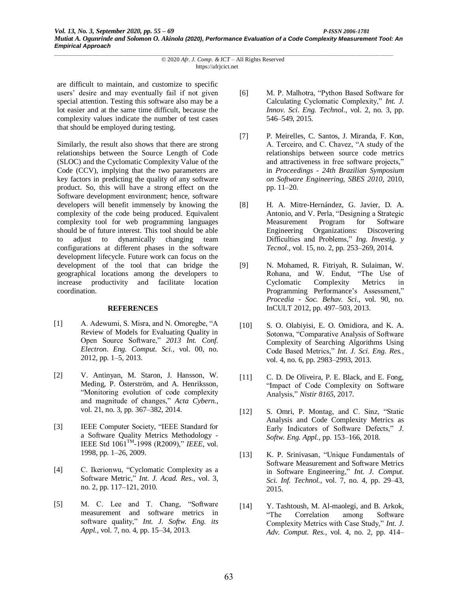are difficult to maintain, and customize to specific users' desire and may eventually fail if not given special attention. Testing this software also may be a lot easier and at the same time difficult, because the complexity values indicate the number of test cases that should be employed during testing.

Similarly, the result also shows that there are strong relationships between the Source Length of Code (SLOC) and the Cyclomatic Complexity Value of the Code (CCV), implying that the two parameters are key factors in predicting the quality of any software product. So, this will have a strong effect on the Software development environment; hence, software developers will benefit immensely by knowing the complexity of the code being produced. Equivalent complexity tool for web programming languages should be of future interest. This tool should be able to adjust to dynamically changing team configurations at different phases in the software development lifecycle. Future work can focus on the development of the tool that can bridge the geographical locations among the developers to increase productivity and facilitate location coordination.

## **REFERENCES**

- [1] A. Adewumi, S. Misra, and N. Omoregbe, "A Review of Models for Evaluating Quality in Open Source Software," *2013 Int. Conf. Electron. Eng. Comput. Sci.*, vol. 00, no. 2012, pp. 1–5, 2013.
- [2] V. Antinyan, M. Staron, J. Hansson, W. Meding, P. Österström, and A. Henriksson, "Monitoring evolution of code complexity and magnitude of changes," *Acta Cybern.*, vol. 21, no. 3, pp. 367–382, 2014.
- [3] IEEE Computer Society, "IEEE Standard for a Software Quality Metrics Methodology - IEEE Std 1061TM -1998 (R2009)," *IEEE*, vol. 1998, pp. 1–26, 2009.
- [4] C. Ikerionwu, "Cyclomatic Complexity as a Software Metric," *Int. J. Acad. Res.*, vol. 3, no. 2, pp. 117–121, 2010.
- [5] M. C. Lee and T. Chang, "Software measurement and software metrics in software quality," *Int. J. Softw. Eng. its Appl.*, vol. 7, no. 4, pp. 15–34, 2013.
- [6] M. P. Malhotra, "Python Based Software for Calculating Cyclomatic Complexity," *Int. J. Innov. Sci. Eng. Technol.*, vol. 2, no. 3, pp. 546–549, 2015.
- [7] P. Meirelles, C. Santos, J. Miranda, F. Kon, A. Terceiro, and C. Chavez, "A study of the relationships between source code metrics and attractiveness in free software projects," in *Proceedings - 24th Brazilian Symposium on Software Engineering, SBES 2010*, 2010, pp. 11–20.
- [8] H. A. Mitre-Hernández, G. Javier, D. A. Antonio, and V. Perla, "Designing a Strategic Measurement Program for Software Engineering Organizations: Discovering Difficulties and Problems," *Ing. Investig. y Tecnol.*, vol. 15, no. 2, pp. 253–269, 2014.
- [9] N. Mohamed, R. Fitriyah, R. Sulaiman, W. Rohana, and W. Endut, "The Use of Cyclomatic Complexity Metrics in Programming Performance's Assessment," *Procedia - Soc. Behav. Sci.*, vol. 90, no. InCULT 2012, pp. 497–503, 2013.
- [10] S. O. Olabiyisi, E. O. Omidiora, and K. A. Sotonwa, "Comparative Analysis of Software Complexity of Searching Algorithms Using Code Based Metrics," *Int. J. Sci. Eng. Res.*, vol. 4, no. 6, pp. 2983–2993, 2013.
- [11] C. D. De Oliveira, P. E. Black, and E. Fong, "Impact of Code Complexity on Software Analysis," *Nistir 8165*, 2017.
- [12] S. Omri, P. Montag, and C. Sinz, "Static Analysis and Code Complexity Metrics as Early Indicators of Software Defects," *J. Softw. Eng. Appl.*, pp. 153–166, 2018.
- [13] K. P. Srinivasan, "Unique Fundamentals of Software Measurement and Software Metrics in Software Engineering," *Int. J. Comput. Sci. Inf. Technol.*, vol. 7, no. 4, pp. 29–43, 2015.
- [14] Y. Tashtoush, M. Al-maolegi, and B. Arkok, "The Correlation among Software Complexity Metrics with Case Study," *Int. J. Adv. Comput. Res.*, vol. 4, no. 2, pp. 414–

*\_\_\_\_\_\_\_\_\_\_\_\_\_\_\_\_\_\_\_\_\_\_\_\_\_\_\_\_\_\_\_\_\_\_\_\_\_\_\_\_\_\_\_\_\_\_\_\_\_\_\_\_\_\_\_\_\_\_\_\_\_\_\_\_\_\_\_\_\_\_\_\_\_\_\_\_\_\_\_\_\_\_\_\_\_\_\_\_\_\_\_\_\_\_\_\_\_\_\_\_\_\_* © 2020 *Afr. J. Comp. & ICT* – All Rights Reserved https://afrjcict.net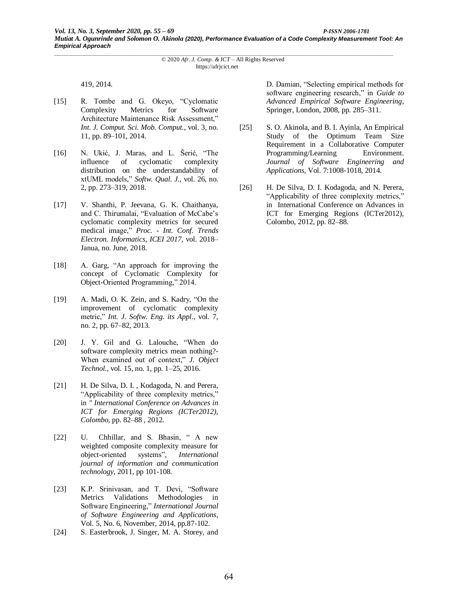419, 2014.

- [15] R. Tombe and G. Okeyo, "Cyclomatic Complexity Metrics for Software Architecture Maintenance Risk Assessment," *Int. J. Comput. Sci. Mob. Comput.*, vol. 3, no. 11, pp. 89–101, 2014.
- [16] N. Ukić, J. Maras, and L. Šerić, "The influence of cyclomatic complexity distribution on the understandability of xtUML models," *Softw. Qual. J.*, vol. 26, no. 2, pp. 273–319, 2018.
- [17] V. Shanthi, P. Jeevana, G. K. Chaithanya, and C. Thirumalai, "Evaluation of McCabe's cyclomatic complexity metrics for secured medical image," *Proc. - Int. Conf. Trends Electron. Informatics, ICEI 2017*, vol. 2018– Janua, no. June, 2018.
- [18] A. Garg, "An approach for improving the concept of Cyclomatic Complexity for Object-Oriented Programming," 2014.
- [19] A. Madi, O. K. Zein, and S. Kadry, "On the improvement of cyclomatic complexity metric," *Int. J. Softw. Eng. its Appl.*, vol. 7, no. 2, pp. 67–82, 2013.
- [20] J. Y. Gil and G. Lalouche, "When do software complexity metrics mean nothing?- When examined out of context," *J. Object Technol.*, vol. 15, no. 1, pp. 1–25, 2016.
- [21] H. De Silva, D. I., Kodagoda, N. and Perera, "Applicability of three complexity metrics," in *" International Conference on Advances in ICT for Emerging Regions (ICTer2012), Colombo*, pp. 82–88 , 2012.
- [22] U. Chhillar, and S. Bhasin, "A new weighted composite complexity measure for object-oriented systems", *International journal of information and communication technology*, 2011, pp 101-108.
- [23] K.P. Srinivasan, and T. Devi, "Software Metrics Validations Methodologies in Software Engineering," *International Journal of Software Engineering and Applications*, Vol. 5, No. 6, November, 2014, pp.87-102.
- [24] S. Easterbrook, J. Singer, M. A. Storey, and

D. Damian, "Selecting empirical methods for software engineering research," in *Guide to Advanced Empirical Software Engineering*, Springer, London, 2008, pp. 285–311.

- [25] S. O. Akinola, and B. I. Ayinla, An Empirical Study of the Optimum Team Size Requirement in a Collaborative Computer Programming/Learning Environment. *Journal of Software Engineering and Applications*, Vol. 7:1008-1018, 2014.
- [26] H. De Silva, D. I. Kodagoda, and N. Perera, "Applicability of three complexity metrics," in International Conference on Advances in ICT for Emerging Regions (ICTer2012), Colombo, 2012, pp. 82–88.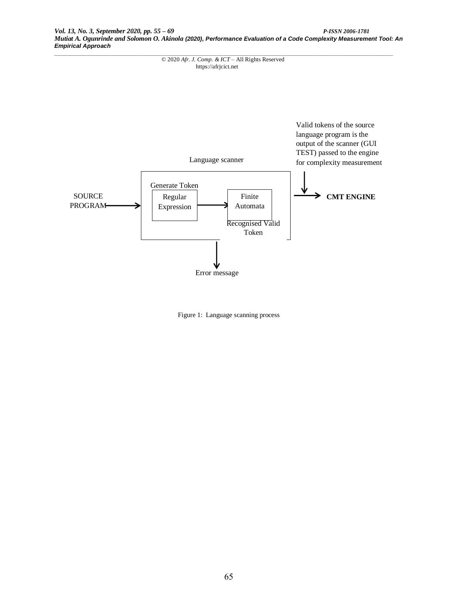

Figure 1: Language scanning process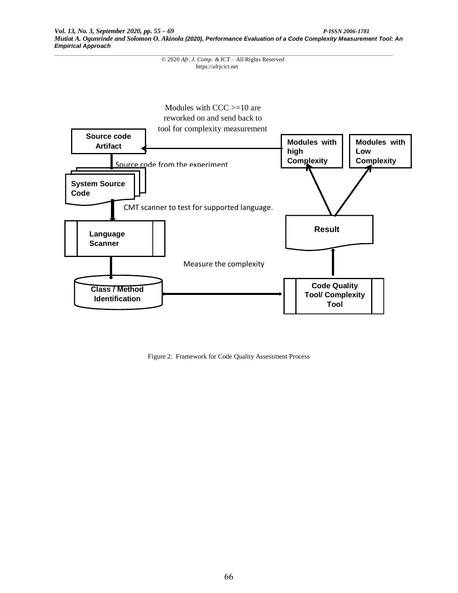

Figure 2: Framework for Code Quality Assessment Process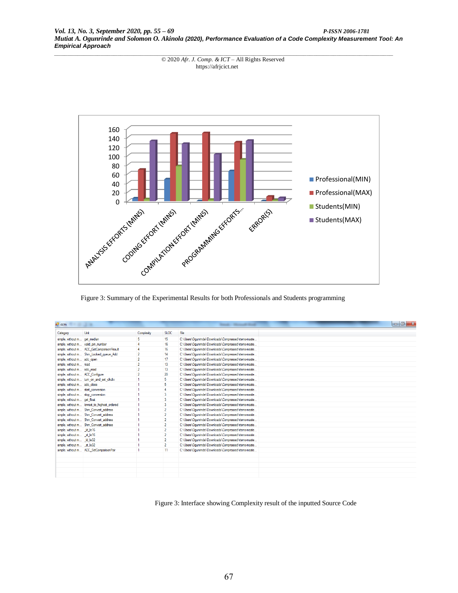*Vol. 13, No. 3, September 2020, pp. 55 – 69 P-ISSN 2006-1781 Mutiat A. Ogunrinde and Solomon O. Akinola (2020), Performance Evaluation of a Code Complexity Measurement Tool: An Empirical Approach*



Figure 3: Summary of the Experimental Results for both Professionals and Students programming

| $\Box$ 0<br>a <sup>n</sup> ccm<br><b>Render - Monarch Wood</b> |                                             |                          |                 |                                                     |
|----------------------------------------------------------------|---------------------------------------------|--------------------------|-----------------|-----------------------------------------------------|
| Category                                                       | Unit                                        | Complexity               | <b>SLOC</b>     | File                                                |
| simple, without m get median                                   |                                             | 5                        | 15              | C:\Users\Ogunrinde\Downloads\Compressed\rtems-maste |
|                                                                | simple, without m valid pin number          |                          | 16              | C:\Users\Ogunrinde\Downloads\Compressed\rtems-maste |
|                                                                | simple, without m ACC GetComparisonResult   | 4                        | 16              | C:\Users\Ogunrinde\Downloads\Compressed\rtems-maste |
|                                                                | simple, without m Shm Locked queue Add      | $\overline{2}$           | 14              | C:\Users\Ogunrinde\Downloads\Compressed\rtems-maste |
| simple, without m adc open                                     |                                             | $\overline{2}$           | 17              | C:\Users\Ogunrinde\Downloads\Compressed\rtems-maste |
| simple, without m read                                         |                                             | $\overline{2}$           | 13 <sup>°</sup> | C:\Users\Ogunrinde\Downloads\Compressed\rtems-maste |
| simple, without m adc_read                                     |                                             | $\overline{\phantom{a}}$ | 13 <sup>°</sup> | C:\Users\Ogunrinde\Downloads\Compressed\tems-maste  |
| simple, without m ACC Configure                                |                                             | $\overline{2}$           | 20              | C:\Users\Ogunrinde\Downloads\Compressed\rtems-maste |
|                                                                | simple, without m tum_on_and_set_clkdiv     |                          | 5.              | C:\Users\Ogunrinde\Downloads\Compressed\rtems-maste |
| simple, without m adc close                                    |                                             |                          | 5.              | C:\Users\Ogunrinde\Downloads\Compressed\rtems-maste |
|                                                                | simple, without m start conversion          |                          |                 | C:\Users\Ogunrinde\Downloads\Compressed\rtems-maste |
|                                                                | simple, without m stop conversion           |                          | 3               | C:\Users\Ogunrinde\Downloads\Compressed\tems-maste  |
| simple, without m get float                                    |                                             |                          | 3               | C:\Users\Ogunrinde\Downloads\Compressed\tems-maste  |
|                                                                | simple, without m lowest_to_highest_ordered |                          | 3               | C:\Users\Ogunrinde\Downloads\Compressed\vtems-maste |
|                                                                | simple, without m Shm Convert address       |                          | $\overline{2}$  | C:\Users\Ogunrinde\Downloads\Compressed\tems-maste  |
|                                                                | simple, without m Shm Convert address       |                          | $\overline{2}$  | C:\Users\Ogunrinde\Downloads\Compressed\tems-maste  |
|                                                                | simple, without m Shm Convert address       |                          | $\overline{2}$  | C:\Users\Ogunrinde\Downloads\Compressed\tems-maste  |
|                                                                | simple, without m Shm Convert address       |                          | $\overline{2}$  | C:\Users\Ogunrinde\Downloads\Compressed\tems-maste  |
| simple, without m Id le16                                      |                                             |                          | $\overline{2}$  | C:\Users\Ogunrinde\Downloads\Compressed\tems-maste  |
| simple, without m st le16                                      |                                             |                          | $\overline{2}$  | C:\Users\Ogunrinde\Downloads\Compressed\rtems-maste |
| simple, without m Id le32                                      |                                             |                          | $\overline{2}$  | C:\Users\Ogunrinde\Downloads\Compressed\tems-maste  |
| simple, without m st le32                                      |                                             |                          | $\overline{2}$  | C:\Users\Ogunrinde\Downloads\Compressed\rtems-maste |
|                                                                | simple, without m ACC SetComparisonPair     |                          | 11              | C:\Users\Ogunrinde\Downloads\Compressed\tems-maste  |
|                                                                |                                             |                          |                 |                                                     |
|                                                                |                                             |                          |                 |                                                     |
|                                                                |                                             |                          |                 |                                                     |
|                                                                |                                             |                          |                 |                                                     |
|                                                                |                                             |                          |                 |                                                     |

Figure 3: Interface showing Complexity result of the inputted Source Code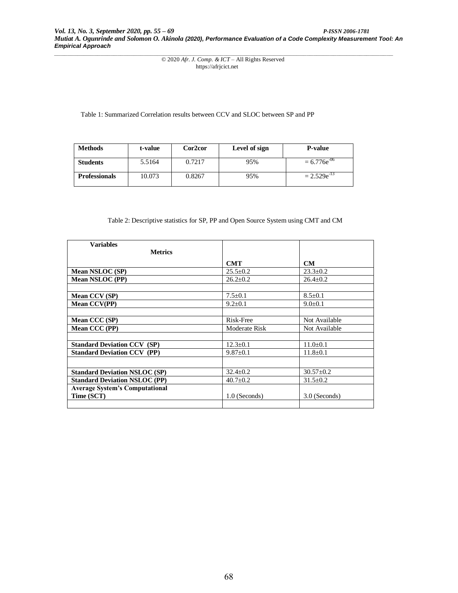Table 1: Summarized Correlation results between CCV and SLOC between SP and PP

| <b>Methods</b>       | t-value | Cor <sub>2</sub> cor | Level of sign | <b>P-value</b>   |
|----------------------|---------|----------------------|---------------|------------------|
| <b>Students</b>      | 5.5164  | 0.7217               | 95%           | $= 6.776e^{-06}$ |
| <b>Professionals</b> | 10.073  | 0.8267               | 95%           | $= 2.529e^{-13}$ |

#### Table 2: Descriptive statistics for SP, PP and Open Source System using CMT and CM

| <b>Variables</b>                      |                 |                 |
|---------------------------------------|-----------------|-----------------|
| <b>Metrics</b>                        |                 |                 |
|                                       | <b>CMT</b>      | CM              |
| <b>Mean NSLOC (SP)</b>                | $25.5 + 0.2$    | $23.3+0.2$      |
| <b>Mean NSLOC (PP)</b>                | $26.2 \pm 0.2$  | $26.4 \pm 0.2$  |
|                                       |                 |                 |
| Mean CCV (SP)                         | $7.5 \pm 0.1$   | $8.5 \pm 0.1$   |
| <b>Mean CCV(PP)</b>                   | $9.2 \pm 0.1$   | $9.0 \pm 0.1$   |
|                                       |                 |                 |
| Mean CCC (SP)                         | Risk-Free       | Not Available   |
| Mean CCC (PP)                         | Moderate Risk   | Not Available   |
|                                       |                 |                 |
| <b>Standard Deviation CCV (SP)</b>    | $12.3 + 0.1$    | $11.0+0.1$      |
| <b>Standard Deviation CCV (PP)</b>    | $9.87 \pm 0.1$  | $11.8 \pm 0.1$  |
|                                       |                 |                 |
| <b>Standard Deviation NSLOC (SP)</b>  | $32.4 + 0.2$    | $30.57 \pm 0.2$ |
| <b>Standard Deviation NSLOC (PP)</b>  | $40.7 \pm 0.2$  | $31.5 \pm 0.2$  |
| <b>Average System's Computational</b> |                 |                 |
| Time (SCT)                            | $1.0$ (Seconds) | $3.0$ (Seconds) |
|                                       |                 |                 |